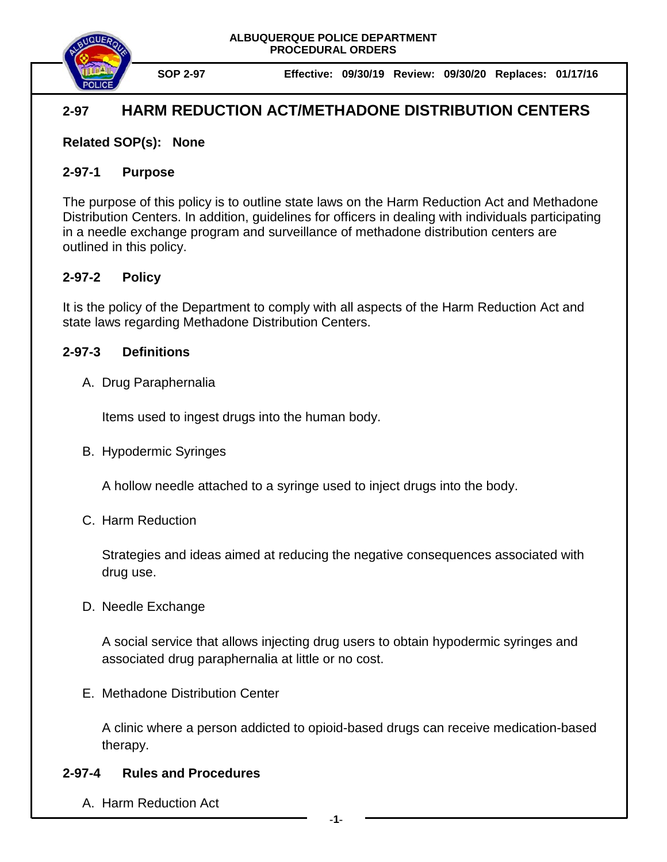**ALBUQUERQUE POLICE DEPARTMENT PROCEDURAL ORDERS**



**SOP 2-97 Effective: 09/30/19 Review: 09/30/20 Replaces: 01/17/16**

# **2-97 HARM REDUCTION ACT/METHADONE DISTRIBUTION CENTERS**

## **Related SOP(s): None**

### **2-97-1 Purpose**

The purpose of this policy is to outline state laws on the Harm Reduction Act and Methadone Distribution Centers. In addition, guidelines for officers in dealing with individuals participating in a needle exchange program and surveillance of methadone distribution centers are outlined in this policy.

### **2-97-2 Policy**

It is the policy of the Department to comply with all aspects of the Harm Reduction Act and state laws regarding Methadone Distribution Centers.

### **2-97-3 Definitions**

A. Drug Paraphernalia

Items used to ingest drugs into the human body.

B. Hypodermic Syringes

A hollow needle attached to a syringe used to inject drugs into the body.

C. Harm Reduction

Strategies and ideas aimed at reducing the negative consequences associated with drug use.

D. Needle Exchange

A social service that allows injecting drug users to obtain hypodermic syringes and associated drug paraphernalia at little or no cost.

E. Methadone Distribution Center

A clinic where a person addicted to opioid-based drugs can receive medication-based therapy.

#### **2-97-4 Rules and Procedures**

A. Harm Reduction Act